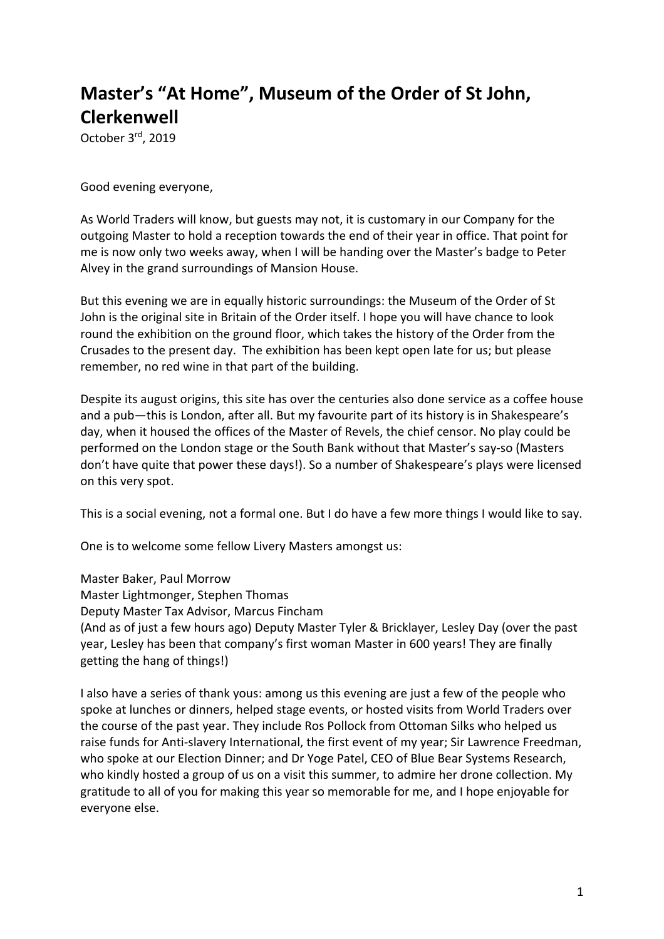## **Master's "At Home", Museum of the Order of St John, Clerkenwell**

October 3rd, 2019

Good evening everyone,

As World Traders will know, but guests may not, it is customary in our Company for the outgoing Master to hold a reception towards the end of their year in office. That point for me is now only two weeks away, when I will be handing over the Master's badge to Peter Alvey in the grand surroundings of Mansion House.

But this evening we are in equally historic surroundings: the Museum of the Order of St John is the original site in Britain of the Order itself. I hope you will have chance to look round the exhibition on the ground floor, which takes the history of the Order from the Crusades to the present day. The exhibition has been kept open late for us; but please remember, no red wine in that part of the building.

Despite its august origins, this site has over the centuries also done service as a coffee house and a pub—this is London, after all. But my favourite part of its history is in Shakespeare's day, when it housed the offices of the Master of Revels, the chief censor. No play could be performed on the London stage or the South Bank without that Master's say-so (Masters don't have quite that power these days!). So a number of Shakespeare's plays were licensed on this very spot.

This is a social evening, not a formal one. But I do have a few more things I would like to say.

One is to welcome some fellow Livery Masters amongst us:

Master Baker, Paul Morrow Master Lightmonger, Stephen Thomas Deputy Master Tax Advisor, Marcus Fincham (And as of just a few hours ago) Deputy Master Tyler & Bricklayer, Lesley Day (over the past year, Lesley has been that company's first woman Master in 600 years! They are finally getting the hang of things!)

I also have a series of thank yous: among us this evening are just a few of the people who spoke at lunches or dinners, helped stage events, or hosted visits from World Traders over the course of the past year. They include Ros Pollock from Ottoman Silks who helped us raise funds for Anti-slavery International, the first event of my year; Sir Lawrence Freedman, who spoke at our Election Dinner; and Dr Yoge Patel, CEO of Blue Bear Systems Research, who kindly hosted a group of us on a visit this summer, to admire her drone collection. My gratitude to all of you for making this year so memorable for me, and I hope enjoyable for everyone else.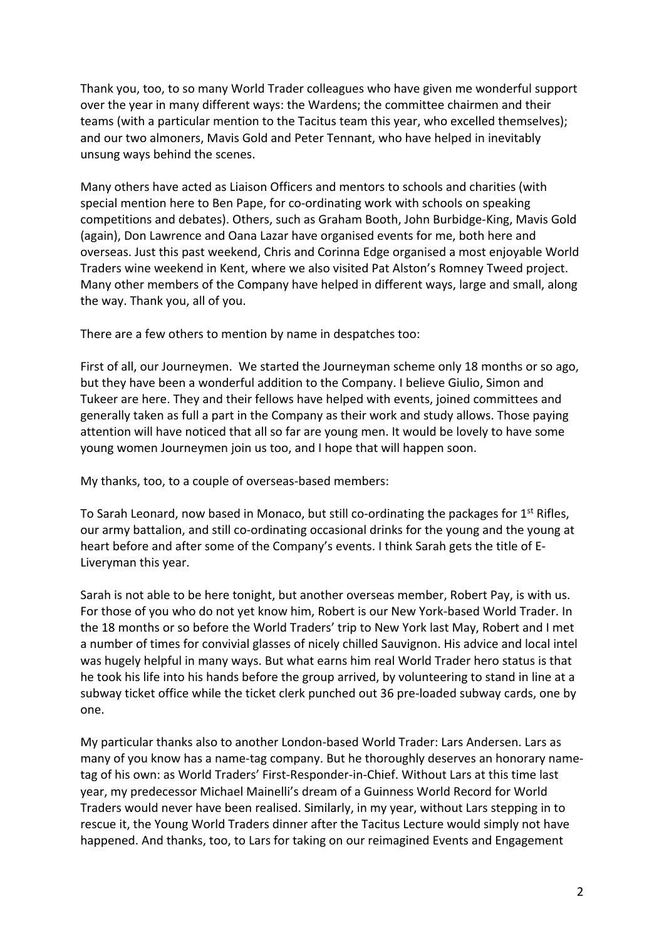Thank you, too, to so many World Trader colleagues who have given me wonderful support over the year in many different ways: the Wardens; the committee chairmen and their teams (with a particular mention to the Tacitus team this year, who excelled themselves); and our two almoners, Mavis Gold and Peter Tennant, who have helped in inevitably unsung ways behind the scenes.

Many others have acted as Liaison Officers and mentors to schools and charities (with special mention here to Ben Pape, for co-ordinating work with schools on speaking competitions and debates). Others, such as Graham Booth, John Burbidge-King, Mavis Gold (again), Don Lawrence and Oana Lazar have organised events for me, both here and overseas. Just this past weekend, Chris and Corinna Edge organised a most enjoyable World Traders wine weekend in Kent, where we also visited Pat Alston's Romney Tweed project. Many other members of the Company have helped in different ways, large and small, along the way. Thank you, all of you.

There are a few others to mention by name in despatches too:

First of all, our Journeymen. We started the Journeyman scheme only 18 months or so ago, but they have been a wonderful addition to the Company. I believe Giulio, Simon and Tukeer are here. They and their fellows have helped with events, joined committees and generally taken as full a part in the Company as their work and study allows. Those paying attention will have noticed that all so far are young men. It would be lovely to have some young women Journeymen join us too, and I hope that will happen soon.

My thanks, too, to a couple of overseas-based members:

To Sarah Leonard, now based in Monaco, but still co-ordinating the packages for  $1<sup>st</sup>$  Rifles, our army battalion, and still co-ordinating occasional drinks for the young and the young at heart before and after some of the Company's events. I think Sarah gets the title of E-Liveryman this year.

Sarah is not able to be here tonight, but another overseas member, Robert Pay, is with us. For those of you who do not yet know him, Robert is our New York-based World Trader. In the 18 months or so before the World Traders' trip to New York last May, Robert and I met a number of times for convivial glasses of nicely chilled Sauvignon. His advice and local intel was hugely helpful in many ways. But what earns him real World Trader hero status is that he took his life into his hands before the group arrived, by volunteering to stand in line at a subway ticket office while the ticket clerk punched out 36 pre-loaded subway cards, one by one.

My particular thanks also to another London-based World Trader: Lars Andersen. Lars as many of you know has a name-tag company. But he thoroughly deserves an honorary nametag of his own: as World Traders' First-Responder-in-Chief. Without Lars at this time last year, my predecessor Michael Mainelli's dream of a Guinness World Record for World Traders would never have been realised. Similarly, in my year, without Lars stepping in to rescue it, the Young World Traders dinner after the Tacitus Lecture would simply not have happened. And thanks, too, to Lars for taking on our reimagined Events and Engagement